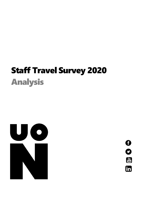# Staff Travel Survey 2020 Analysis



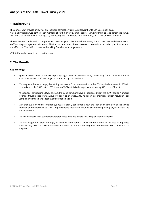# **Analysis of the Staff Travel Survey 2020**

# **1. Background**

The annual Staff Travel Survey was available for completion from 23rd November to 6th December 2020. An email invitation was sent to each member of staff (university email address), inviting them to take part in the survey via Toluna on-line software, managed by Marketing; with reminders sent after 7 days via UNify and social media.

The survey was condensed in comparison to previous years, this was felt necessary due to COVID-19 and the impact on staff working arrangements - in terms of limited travel allowed, the survey was shortened and included questions around the effects of COVID-19 on travel and working from home arrangements.

478 staff members participated in the survey.

# **2. The Results**

## **Key Findings**

- Significant reduction in travel to campus by Single Occupancy Vehicle (SOV) decreasing from 71% in 2019 to 37% in 2020 because of staff working from home during the pandemic.
- Working from home is hugely benefiting our scope 3 carbon emissions the CO2 equivalent saved in 2020 in comparison to the 2019 data is 393 tonnes of CO2e– this is the equivalent of saving 513 acres of forest.
- As expected, considering COVID-19, bus, train and car share have all decreased from the 2019 results. Numbers for these travel modes were always low at 5% on average. 2019 had seen a slight increase from results at Park Campus, and these have subsequently dropped again.
- Staff that cycle or would consider cycling are largely concerned about the lack of or condition of the town's cycleway and the facilities at UON – improvements requested included: secure bike parking, drying lockers and private showers.
- The main concern with public transport for those who use it was: cost, frequency and reliability.
- The vast majority of staff are enjoying working from home as they feel their work/life balance is improved however they miss the social interaction and hope to combine working from home with working on-site in the long term.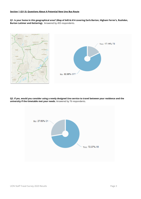**Q1. Is your home in this geographical area? (Map of A45 & A14 covering Earls Barton, Higham Ferrer's, Rushden, Burton Latimer and Kettering).** Answered by 455 respondents.



**Q2. If yes, would you consider using a newly designed Uno service to travel between your residence and the university if the timetable met your needs.** Answered by 76 respondents.

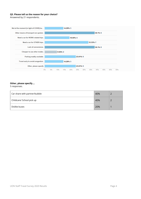## **Q3. Please tell us the reason for your choice?**

Answered by 21 respondents.



# **Other, please specify….**

5 responses.

| Car share with partner/bubble | 40% |  |
|-------------------------------|-----|--|
| Childcare/ School pick up     | 40% |  |
| Dislike buses                 | 20% |  |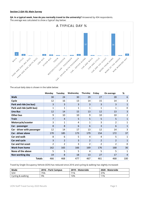#### **Section 2 (Q4-10): Main Survey**

**Q4. In a typical week, how do you normally travel to the university?** Answered by 434 respondents. The average was calculated to show a 'typical' day below:



The actual daily data is shown in the table below:

|                             | Monday       | Tuesday        | Wednesday    | Thursday       | Friday         | On average     | %              |
|-----------------------------|--------------|----------------|--------------|----------------|----------------|----------------|----------------|
| <b>Walk</b>                 | 30           | 24             | 30           | 29             | 27             | 28             | 6              |
| Cycle                       | 12           | 16             | 13           | 14             | 15             | 14             | 3              |
| Park and ride (no bus)      | 3            | 3              | 3            | 3              | 3              | 3              | $\mathbf{1}$   |
| Park and ride (with bus)    | $\mathbf{1}$ | 1              | $\mathbf{1}$ | $\mathbf{1}$   | $\mathbf{1}$   | $\mathbf{1}$   | $\mathbf{0}$   |
| <b>Uno Bus</b>              | 12           | 14             | 15           | 13             | 12             | 13             | 3              |
| <b>Other bus</b>            | 9            | 10             | 10           | 9              | 10             | 10             | $\overline{2}$ |
| <b>Train</b>                | 7            | $\overline{4}$ | 5            | 5              | 5              | 5              | $\mathbf{1}$   |
| Motorcycle/scooter          | 3            | $\mathbf{1}$   | 4            | 1              | 3              | $\overline{2}$ | 1              |
| Car - passenger             | 8            | 8              | 6            | 6              | 3              | 6              | $\mathbf{1}$   |
| Car - driver with passenger | 12           | 14             | 17           | 13             | 12             | 14             | 3              |
| Car - driver alone          | 170          | 185            | 173          | 179            | 154            | 172            | 37             |
| Car and walk                | 8            | 6              | 5            | 4              | 4              | 5              | $\mathbf{1}$   |
| Car and cycle               | 3            | $\overline{2}$ | 3            | $\overline{2}$ | $\overline{2}$ | $\overline{2}$ | $\mathbf{1}$   |
| <b>Car and Voi scoot</b>    | 2            | $\overline{2}$ | 3            | $\overline{2}$ | $\overline{2}$ | 2              | $\Omega$       |
| <b>Work from home</b>       | 162          | 165            | 166          | 169            | 176            | 168            | 36             |
| None of the above           | 5            | 5              | 5            | 4              | 5              | 5              | $\mathbf{1}$   |
| Non-working day             | 19           | 8              | 18           | 13             | 27             | 17             | 4              |
| <b>Totals</b>               | 466          | 468            | 477          | 467            | 461            | 468            | 100            |

Travel by Single Occupancy Vehicle (SOV) has reduced since 2016 and cycling & walking has slightly increased:

| Mode              | 2016 – Park Campus | 2019 – Waterside | 2020 - Waterside |
|-------------------|--------------------|------------------|------------------|
| <b>SOV</b>        | 75%                | 71%              | 37%              |
| Cycling & walking | 9%                 | 10%              | 11%              |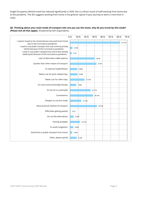Single Occupancy Vehicle travel has reduced significantly in 2020, this is a direct result of staff working from home due to the pandemic. The IEA suggests working from home is the greener option if your journey to work is more than 4 miles.

#### **Q5. Thinking about your main mode of transport (the one you use the most), why do you travel by this mode? (Please tick all that apply).** Answered by 429 respondents.

|                                                                                                             | 0.% | 10.%  |        | 20.%   | 30.%   | 40.% | 50.% | 60.% | 70.%   |
|-------------------------------------------------------------------------------------------------------------|-----|-------|--------|--------|--------|------|------|------|--------|
| I used to travel to the University but now work from home<br>due to the Coronavirus pandemic.               |     |       |        |        |        |      |      |      | 61.31% |
| I used to use public transport but now come by private<br>vehicle because of the Coronavirus pandemic.      |     | 3.03% |        |        |        |      |      |      |        |
| I used to use public transport but now travel actively<br>(walk/cycle) because of the Coronavirus pandemic. |     | 2.1%  |        |        |        |      |      |      |        |
| Lack of alternative viable options.                                                                         |     |       |        |        | 30.3%  |      |      |      |        |
| Quicker than other means of transport.                                                                      |     |       |        |        | 32.4%  |      |      |      |        |
| To improve health/fitness.                                                                                  |     |       | 8.86%  |        |        |      |      |      |        |
| Need a car for work related trips.                                                                          |     |       | 9.09%  |        |        |      |      |      |        |
| Need a car for other trips.                                                                                 |     |       |        | 17.72% |        |      |      |      |        |
| It's more environmentally friendly.                                                                         |     |       | 7.69%  |        |        |      |      |      |        |
| It's too far to cycle/walk.                                                                                 |     |       |        |        | 25.17% |      |      |      |        |
| Convenience.                                                                                                |     |       |        |        | 28.21% |      |      |      |        |
| Cheaper to use this mode.                                                                                   |     |       | 13.75% |        |        |      |      |      |        |
| Most practical method of transport.                                                                         |     |       |        |        | 32.87% |      |      |      |        |
| Difficulties getting parked.                                                                                |     | 0.7%  |        |        |        |      |      |      |        |
| Do not like alternatives.                                                                                   |     | 4.43% |        |        |        |      |      |      |        |
| Parking available.                                                                                          |     |       | 12.12% |        |        |      |      |      |        |
| To avoid congestion.                                                                                        |     | 3.96% |        |        |        |      |      |      |        |
| Good links to public transport from home.                                                                   |     | 2.56% |        |        |        |      |      |      |        |
| Other, please specify                                                                                       |     |       | 8.16%  |        |        |      |      |      |        |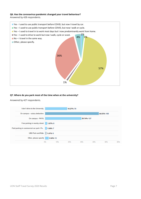#### **Q6. Has the coronavirus pandemic changed your travel behaviour?**

Answered by 428 respondents.



#### **Q7. Where do you park most of the time when at the university?**

Answered by 427 respondents.

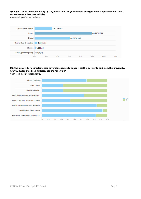**Q8. If you travel to the university by car, please indicate your vehicle fuel type (indicate predominant use, if access to more than one vehicle).** 

Answered by 424 respondents.



**Q9. The university has implemented several measures to support staff in getting to and from the university. Are you aware that the university has the following?**

Answered by 424 respondents.

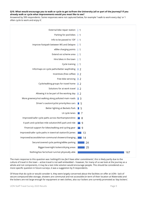#### **Q10. What would encourage you to walk or cycle to get to/from the University (all or part of the journey)? If you already walk or cycle what improvements would you most like to see?**

Answered by 399 respondents. Some responses were not captured below, for example 'I walk to work every day' or 'I often cycle to work and enjoy it'.

| External bike repair station                             | $\vert$ 1        |
|----------------------------------------------------------|------------------|
| Parking for pod bikes                                    | $\vert$ 1        |
| Info to be passed to 1DF                                 | $\vert$ 1        |
| Improve footpath between WS and Delapre                  | $\vert$ 1        |
| eBike charging points                                    | $\vert$ 1        |
| Extend voi scheme area                                   | l 1              |
| Hire bikes in the town                                   | l 1              |
| Cycle training                                           | l 1              |
| Info/maps on cycle paths/better wayfinding               | $\parallel$ 2    |
| Incentives (free coffee)                                 | $\mathbb{I}$ 2   |
| Free bike servicing                                      | $\parallel$ 2    |
| Cycle/walking groups for travel home                     | $\mathbb{I}$ 2   |
| Solutions for at work travel                             | $\mathbb{I}$ 2   |
| Allowing it to be part of the working day                | $\mathbb{I}$ 2   |
| More greenery/not walking along polluted main roads      | $\blacksquare$ 3 |
| Driver's caution/cyclist priority/less cars              | $\blacksquare$ 5 |
| Better lighting at Beckets Park                          | $\blacksquare$ 5 |
| Lit cycle lanes                                          | $\blacksquare$ 7 |
| Improved/safer cycle paths across Northamptonshire       | ■ 8              |
| A park and cycle/last mile solution/A45 park and ride    | ■ 9              |
| Financial support for bikes/walking and cycling gear     | 9                |
| Improved/safer cycle paths in town/rail station/St James | 13               |
| Improved/accessible/non-communal showers/changing        | 14               |
| Secure/covered cycle parking/eBike parking               | 24               |
| Bigger/overnight lockers/drying areas                    | 25               |
| Nothing/too far/school run/not physically able           | 167              |

The main response to this question was *'nothing/it's too far/I have other commitments'*, this is likely partly due to the culture of travel in the town – active travel is not well embedded – however, for many of us we look at the journey as a whole and not components, it may be a last mile solution would encourage people. This should be considered as a more specific question in future surveys, it was a suggestion by 9 respondents.

Of those that do cycle or would consider it, they were largely concerned about the facilities on offer at UON– lack of secure compound bike storage, showers are communal and not accessible (in term of their location at Waterside) and the lockers are not large enough for equipment or wet clothes, also our lockers are currently promoted as 'day lockers'.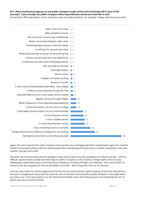## **Q11. What would encourage you to use public transport to get to/from the University (all or part of the journey)? If you already use public transport what improvements would you most like to see?**

Answered by 399 respondents. Some responses were not captured below, for example 'I always take the bus to work'.



Again, the main response for public transport improvement was '*nothing/too far/other commitments'*, again this could be linked to the private vehicle culture in Northamptonshire and looking at the journey as a whole component; a last mile solution may also work here.

The other top concerns were around needing a route close to home but also wanting it to be direct and fast – which is difficult, express buses usually have few stops in order to be quick, so this involves a longer walk to the bus stop. Additionally, respondents were concerned about frequency, including off peak, and reliability. There were COVID-19 concerns but also requests for normal timetables to resume – which may refer more to rail services.

Cost was also raised, for rail this appeared to be the cost of a ticket and the station parking, for bus this referenced a discount on Stagecoach buses and free travel for Uno. It was also mentioned that public transport is not viable when you have a car, if you pay to keep a car this becomes the better value choice because you are comparing the cost of petrol only versus a bus/rail ticket.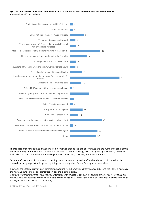#### **Q12. Are you able to work from home? If so, what has worked well and what has not worked well?**  Answered by 350 respondents.



The top response for positives of working from home was around the lack of commute and the number of benefits this brings including: better work/life balance, time for exercise in the morning, less stress (missing rush hour), savings on fuel/rail tickets and comments about feeling they are contributing positively to the environment.

Several staff members did comment on missing the social interaction with staff and students, this included: social comradery, being kept in the loop, solving things more easily when face to face, spurring new ideas.

However, the vast majority of staff commented working from home was *'largely positive but…'* and then gave a negative, the negative tended to be social interaction, see the example below:

*'I* am able to work from home. I miss the daily interaction with colleagues but all in all working at home has worked very well *for me. i have had access to everything so to date everything has worked well. i am in no rush to get back to driving through all the traffic that the delights of rush hour bring.'*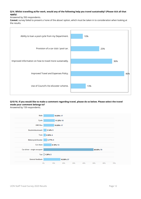## **Q14. Whilst travelling at/for work, would any of the following help you travel sustainably? (Please tick all that apply).**

Answered by 350 respondents.

**Caveat:** survey failed to present a 'none of the above' option, which must be taken in to consideration when looking at the results.



## **Q15/16. If you would like to make a comment regarding travel, please do so below. Please select the travel mode your comment belongs to?**

Answered by 159 respondents.

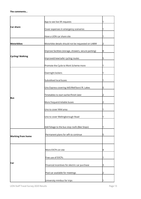#### **The comments…**

|                          | App to see live lift requests                         |   |
|--------------------------|-------------------------------------------------------|---|
| <b>Car share</b>         | Cover expenses in emergency scenarios                 |   |
|                          | Have a UON car share site                             | 1 |
| <b>Motorbikes</b>        | Motorbike details should not be requested on U4BW     | 2 |
|                          | Improve facilities (storage, showers, secure parking) | 8 |
| <b>Cycling/Walking</b>   | Improved/new/safer cycling routes                     | 5 |
|                          | Promote the Cycle to Work Scheme more                 |   |
|                          | Overnight lockers                                     |   |
|                          | Subsidised local buses                                |   |
|                          | Uno Express covering A45/Well'boro'/R. Lakes          | 5 |
| <b>Bus</b>               | Timetables to start earlier/finish later              | 2 |
|                          | More frequent/reliable buses                          | 2 |
|                          | Uno to cover NN4 area                                 | 1 |
|                          | Uno to cover Wellingborough Road                      |   |
|                          | Add foliage to the bus stop roofs (Bee Stops)         |   |
| <b>Working from home</b> | Permanent plans for wfh to continue                   | 5 |
|                          |                                                       |   |
|                          | More EVCPs on site                                    | 4 |
| Car                      | Free use of EVCPs                                     |   |
|                          | Financial incentives for electric car purchase        | З |
|                          | Pool car available for meetings                       | 2 |
|                          | University minibus for trips                          |   |